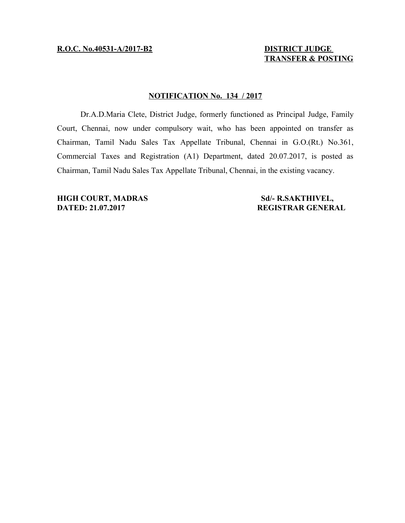# **TRANSFER & POSTING**

### **NOTIFICATION No. 134 / 2017**

Dr.A.D.Maria Clete, District Judge, formerly functioned as Principal Judge, Family Court, Chennai, now under compulsory wait, who has been appointed on transfer as Chairman, Tamil Nadu Sales Tax Appellate Tribunal, Chennai in G.O.(Rt.) No.361, Commercial Taxes and Registration (A1) Department, dated 20.07.2017, is posted as Chairman, Tamil Nadu Sales Tax Appellate Tribunal, Chennai, in the existing vacancy.

**HIGH COURT, MADRAS Sd/- R.SAKTHIVEL, DATED: 21.07.2017 REGISTRAR GENERAL**